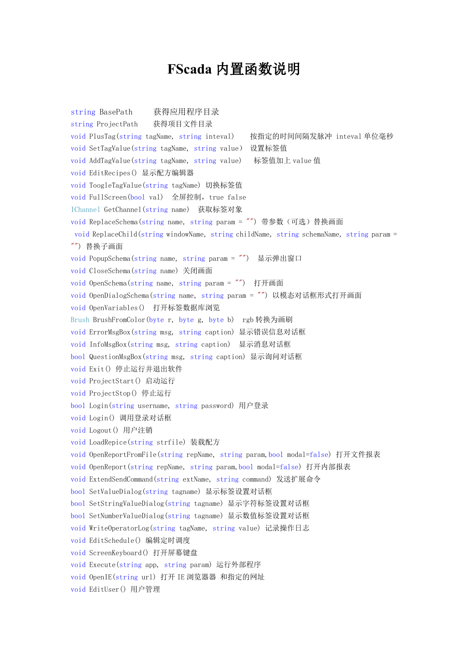## **FScada** 内置函数说明

string BasePath 获得应用程序目录 string ProjectPath 获得项目文件目录 void PlusTag(string tagName, string inteval) 按指定的时间间隔发脉冲 inteval 单位毫秒 void SetTagValue(string tagName, string value) 设置标签值 void AddTagValue(string tagName, string value) 标签值加上 value 值 void EditRecipes() 显示配方编辑器 void ToogleTagValue(string tagName) 切换标签值 void FullScreen(bool val) 全屏控制, true false IChannel GetChannel(string name) 获取标签对象 void ReplaceSchema(string name, string param = "") 带参数 (可选) 替换画面 void ReplaceChild(string windowName, string childName, string schemaName, string param = "") 替换子画面 void PopupSchema(string name, string param = "") 显示弹出窗口 void CloseSchema(string name) 关闭画面 void OpenSchema(string name, string param = "") 打开画面 void OpenDialogSchema(string name, string param = "") 以模态对话框形式打开画面 void OpenVariables() 打开标签数据库浏览 Brush BrushFromColor(byte r, byte g, byte b) rgb 转换为画刷 void ErrorMsgBox(string msg, string caption) 显示错误信息对话框 void InfoMsgBox(string msg, string caption) 显示消息对话框 bool QuestionMsgBox(string msg, string caption) 显示询问对话框 void Exit() 停止运行并退出软件 void ProjectStart() 启动运行 void ProjectStop() 停止运行 bool Login(string username, string password) 用户登录 void Login() 调用登录对话框 void Logout() 用户注销 void LoadRepice(string strfile) 装载配方 void OpenReportFromFile(string repName, string param,bool modal=false) 打开文件报表 void OpenReport(string repName, string param,bool modal=false) 打开内部报表 void ExtendSendCommand(string extName, string command) 发送扩展命令 bool SetValueDialog(string tagname) 显示标签设置对话框 bool SetStringValueDialog(string tagname) 显示字符标签设置对话框 bool SetNumberValueDialog(string tagname) 显示数值标签设置对话框 void WriteOperatorLog(string tagName, string value) 记录操作日志 void EditSchedule() 编辑定时调度 void ScreenKeyboard() 打开屏幕键盘 void Execute(string app, string param) 运行外部程序 void OpenIE(string url) 打开 IE 浏览器器 和指定的网址 void EditUser() 用户管理